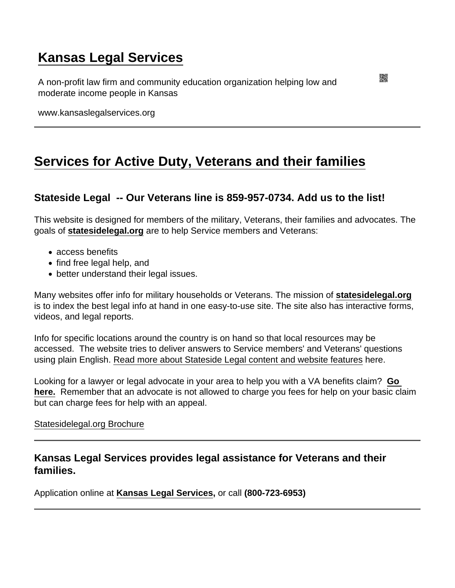## [Kansas Legal Services](https://www.kansaslegalservices.org/)

A non-profit law firm and community education organization helping low and moderate income people in Kansas

www.kansaslegalservices.org

## [Services for Active Duty, Veterans and their families](https://www.kansaslegalservices.org/node/1657/services-active-duty-veterans-and-their-families)

Stateside Legal -- Our Veterans line is 859-957-0734. Add us to the list!

This website is designed for members of the military, Veterans, their families and advocates. The goals of [statesidelegal.org](http://statesidelegal.org/) are to help Service members and Veterans:

- access benefits
- find free legal help, and
- better understand their legal issues.

Many websites offer info for military households or Veterans. The mission of [statesidelegal.org](http://statesidelegal.org/) is to index the best legal info at hand in one easy-to-use site. The site also has interactive forms, videos, and legal reports.

Info for specific locations around the country is on hand so that local resources may be accessed. The website tries to deliver answers to Service members' and Veterans' questions using plain English. [Read more about Stateside Legal content and website features](http://statesidelegal.org/userguide) here.

Looking for a lawyer or legal advocate in your area to help you with a VA benefits claim? [Go](http://www.va.gov/ogc/apps/accreditation/index.asp)  [here.](http://www.va.gov/ogc/apps/accreditation/index.asp) Remember that an advocate is not allowed to charge you fees for help on your basic claim but can charge fees for help with an appeal.

## [Statesidelegal.org Brochure](http://statesidelegal.org/sites/default/files/documents/flyer1.pdf)

Kansas Legal Services provides legal assistance for Veterans and their families.

Application online at [Kansas Legal Services](http://kansaslegalservices.org/node/809/online-application) , or call (800-723-6953)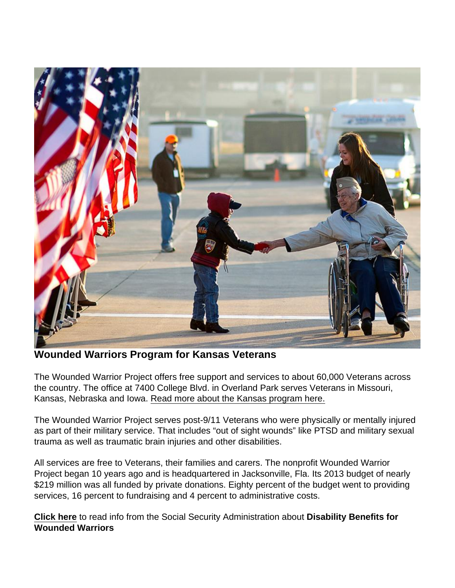## Wounded Warriors Program for Kansas Veterans

The Wounded Warrior Project offers free support and services to about 60,000 Veterans across the country. The office at 7400 College Blvd. in Overland Park serves Veterans in Missouri, Kansas, Nebraska and Iowa. [Read more about the Kansas program here.](http://www.kansaslegalservices.org/node/1889/wounded-warriors-opens-local-office-kansas-veterans)

The Wounded Warrior Project serves post-9/11 Veterans who were physically or mentally injured as part of their military service. That includes "out of sight wounds" like PTSD and military sexual trauma as well as traumatic brain injuries and other disabilities.

All services are free to Veterans, their families and carers. The nonprofit Wounded Warrior Project began 10 years ago and is headquartered in Jacksonville, Fla. Its 2013 budget of nearly \$219 million was all funded by private donations. Eighty percent of the budget went to providing services, 16 percent to fundraising and 4 percent to administrative costs.

[Click here](http://www.kansaslegalservices.org/sites/kansaslegalservices.org/files/SSDI for Wounded Warriors from SSA.pdf) to read info from the Social Security Administration about Disability Benefits for Wounded Warriors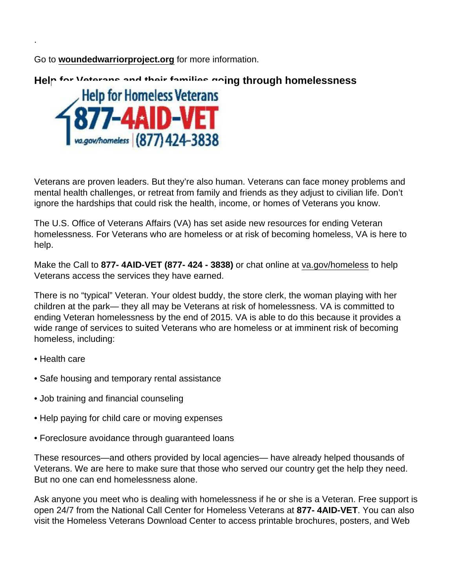Go to [woundedwarriorproject.org](http://www.woundedwarriorproject.org/) for more information.

Help for Veterans and their families going through homelessness

Veterans are proven leaders. But they're also human. Veterans can face money problems and mental health challenges, or retreat from family and friends as they adjust to civilian life. Don't ignore the hardships that could risk the health, income, or homes of Veterans you know.

The U.S. Office of Veterans Affairs (VA) has set aside new resources for ending Veteran homelessness. For Veterans who are homeless or at risk of becoming homeless, VA is here to help.

Make the Call to 877- 4AID-VET (877- 424 - 3838) or chat online at [va.gov/homeless](http://www.va.gov/homeless) to help Veterans access the services they have earned.

There is no "typical" Veteran. Your oldest buddy, the store clerk, the woman playing with her children at the park— they all may be Veterans at risk of homelessness. VA is committed to ending Veteran homelessness by the end of 2015. VA is able to do this because it provides a wide range of services to suited Veterans who are homeless or at imminent risk of becoming homeless, including:

• Health care

.

- Safe housing and temporary rental assistance
- Job training and financial counseling
- Help paying for child care or moving expenses
- Foreclosure avoidance through guaranteed loans

These resources—and others provided by local agencies— have already helped thousands of Veterans. We are here to make sure that those who served our country get the help they need. But no one can end homelessness alone.

Ask anyone you meet who is dealing with homelessness if he or she is a Veteran. Free support is open 24/7 from the National Call Center for Homeless Veterans at 877- 4AID-VET. You can also visit the Homeless Veterans Download Center to access printable brochures, posters, and Web